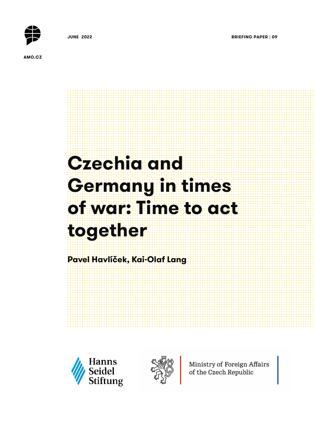**JUNE 2022 BRIEFING PAPER | 09** 



**AMO.CZ**

# **Czechia and Germany in times of war: Time to act together Pavel Havlíček, Kai-Olaf Lang**





Ministry of Foreign Affairs of the Czech Republic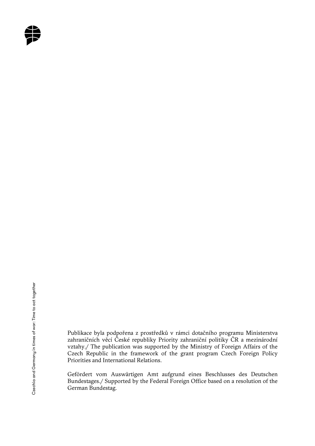

Publikace byla podpořena z prostředků v rámci dotačního programu Ministerstva zahraničních věcí České republiky Priority zahraniční politiky ČR a mezinárodní vztahy./ The publication was supported by the Ministry of Foreign Affairs of the Czech Republic in the framework of the grant program Czech Foreign Policy Priorities and International Relations.

Gefördert vom Auswärtigen Amt aufgrund eines Beschlusses des Deutschen Bundestages./ Supported by the Federal Foreign Office based on a resolution of the German Bundestag.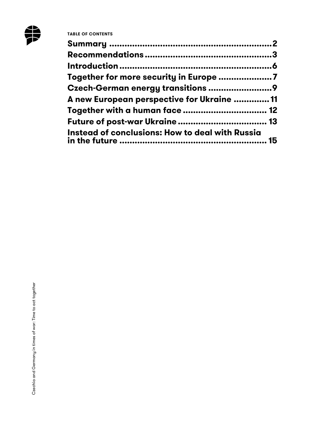

| Together for more security in Europe 7                 |  |
|--------------------------------------------------------|--|
|                                                        |  |
| A new European perspective for Ukraine  11             |  |
|                                                        |  |
|                                                        |  |
| <b>Instead of conclusions: How to deal with Russia</b> |  |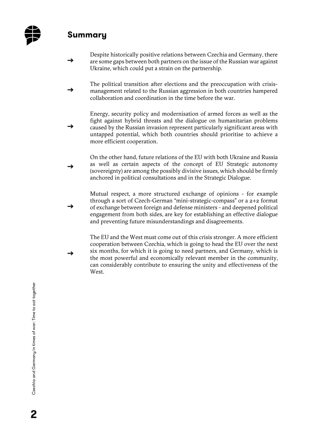

## **Summary**

**→** 

**→** 

**→** 

- **→**  Despite historically positive relations between Czechia and Germany, there are some gaps between both partners on the issue of the Russian war against Ukraine, which could put a strain on the partnership.
- **→**  The political transition after elections and the preoccupation with crisismanagement related to the Russian aggression in both countries hampered collaboration and coordination in the time before the war.

Energy, security policy and modernisation of armed forces as well as the fight against hybrid threats and the dialogue on humanitarian problems caused by the Russian invasion represent particularly significant areas with untapped potential, which both countries should prioritise to achieve a more efficient cooperation.

**→**  On the other hand, future relations of the EU with both Ukraine and Russia as well as certain aspects of the concept of EU Strategic autonomy (sovereignty) are among the possibly divisive issues, which should be firmly anchored in political consultations and in the Strategic Dialogue.

Mutual respect, a more structured exchange of opinions - for example through a sort of Czech-German "mini-strategic-compass" or a 2+2 format of exchange between foreign and defense ministers - and deepened political engagement from both sides, are key for establishing an effective dialogue and preventing future misunderstandings and disagreements.

The EU and the West must come out of this crisis stronger. A more efficient cooperation between Czechia, which is going to head the EU over the next six months, for which it is going to need partners, and Germany, which is the most powerful and economically relevant member in the community, can considerably contribute to ensuring the unity and effectiveness of the West.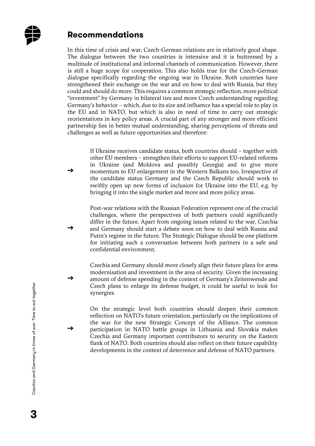

#### **Recommendations**

**→** 

**→** 

**→** 

**→** 

In this time of crisis and war, Czech-German relations are in relatively good shape. The dialogue between the two countries is intensive and it is buttressed by a multitude of institutional and informal channels of communication. However, there is still a huge scope for cooperation. This also holds true for the Czech-German dialogue specifically regarding the ongoing war in Ukraine. Both countries have strengthened their exchange on the war and on how to deal with Russia, but they could and should do more. This requires a common strategic reflection, more political "investment" by Germany in bilateral ties and more Czech understanding regarding Germany's behavior – which, due to its size and influence has a special role to play in the EU and in NATO, but which is also in need of time to carry out strategic reorientations in key policy areas. A crucial part of any stronger and more efficient partnership lies in better mutual understanding, sharing perceptions of threats and challenges as well as future opportunities and therefore:

> If Ukraine receives candidate status, both countries should – together with other EU members – strengthen their efforts to support EU-related reforms in Ukraine (and Moldova and possibly Georgia) and to give more momentum to EU enlargement in the Western Balkans too. Irrespective of the candidate status Germany and the Czech Republic should work to swiftly open up new forms of inclusion for Ukraine into the EU, e.g. by bringing it into the single market and more and more policy areas.

> Post-war relations with the Russian Federation represent one of the crucial challenges, where the perspectives of both partners could significantly differ in the future. Apart from ongoing issues related to the war, Czechia and Germany should start a debate soon on how to deal with Russia and Putin's regime in the future. The Strategic Dialogue should be one platform for initiating such a conversation between both partners in a safe and confidential environment.

> Czechia and Germany should more closely align their future plans for arms modernisation and investment in the area of security. Given the increasing amount of defense spending in the context of Germany's Zeitenwende and Czech plans to enlarge its defense budget, it could be useful to look for synergies.

> On the strategic level both countries should deepen their common reflection on NATO's future orientation, particularly on the implications of the war for the new Strategic Concept of the Alliance. The common participation in NATO battle groups in Lithuania and Slovakia makes Czechia and Germany important contributors to security on the Eastern flank of NATO. Both countries should also reflect on their future capability developments in the context of deterrence and defense of NATO partners.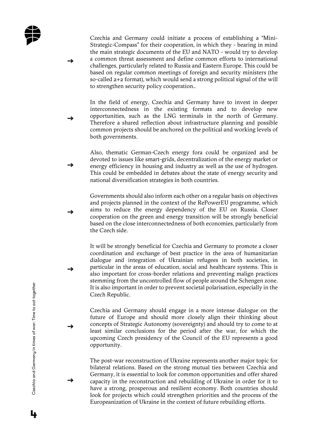

**→** 

**→** 

**→** 

**→** 

**→** 

**→** 

**→** 

Czechia and Germany could initiate a process of establishing a "Mini-Strategic-Compass" for their cooperation, in which they - bearing in mind the main strategic documents of the EU and NATO - would try to develop a common threat assessment and define common efforts to international challenges, particularly related to Russia and Eastern Europe. This could be based on regular common meetings of foreign and security ministers (the so-called 2+2 format), which would send a strong political signal of the will to strengthen security policy cooperation..

In the field of energy, Czechia and Germany have to invest in deeper interconnectedness in the existing formats and to develop new opportunities, such as the LNG terminals in the north of Germany. Therefore a shared reflection about infrastructure planning and possible common projects should be anchored on the political and working levels of both governments.

Also, thematic German-Czech energy fora could be organized and be devoted to issues like smart-grids, decentralization of the energy market or energy efficiency in housing and industry as well as the use of hydrogen. This could be embedded in debates about the state of energy security and national diversification strategies in both countries.

Governments should also inform each other on a regular basis on objectives and projects planned in the context of the RePowerEU programme, which aims to reduce the energy dependency of the EU on Russia. Closer cooperation on the green and energy transition will be strongly beneficial based on the close interconnectedness of both economies, particularly from the Czech side.

It will be strongly beneficial for Czechia and Germany to promote a closer coordination and exchange of best practice in the area of humanitarian dialogue and integration of Ukrainian refugees in both societies, in particular in the areas of education, social and healthcare systems. This is also important for cross-border relations and preventing malign practices stemming from the uncontrolled flow of people around the Schengen zone. It is also important in order to prevent societal polarisation, especially in the Czech Republic.

Czechia and Germany should engage in a more intense dialogue on the future of Europe and should more closely align their thinking about concepts of Strategic Autonomy (sovereignty) and should try to come to at least similar conclusions for the period after the war, for which the upcoming Czech presidency of the Council of the EU represents a good opportunity.

The post-war reconstruction of Ukraine represents another major topic for bilateral relations. Based on the strong mutual ties between Czechia and Germany, it is essential to look for common opportunities and offer shared capacity in the reconstruction and rebuilding of Ukraine in order for it to have a strong, prosperous and resilient economy. Both countries should look for projects which could strengthen priorities and the process of the Europeanization of Ukraine in the context of future rebuilding efforts.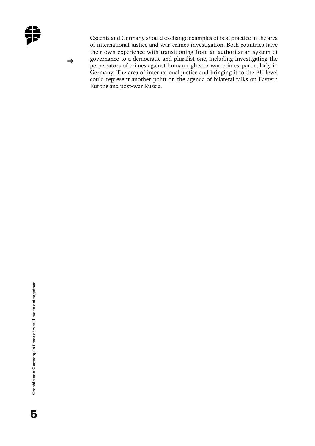

**→** 

Czechia and Germany should exchange examples of best practice in the area of international justice and war-crimes investigation. Both countries have their own experience with transitioning from an authoritarian system of governance to a democratic and pluralist one, including investigating the perpetrators of crimes against human rights or war-crimes, particularly in Germany. The area of international justice and bringing it to the EU level could represent another point on the agenda of bilateral talks on Eastern Europe and post-war Russia.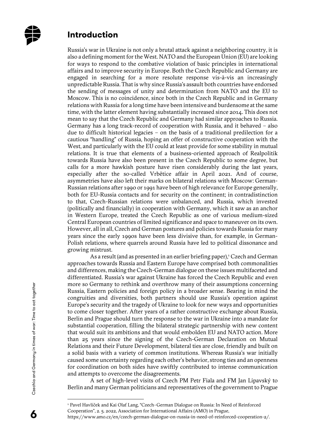

#### **Introduction**

Russia's war in Ukraine is not only a brutal attack against a neighboring country, it is also a defining moment for the West. NATO and the European Union (EU) are looking for ways to respond to the combative violation of basic principles in international affairs and to improve security in Europe. Both the Czech Republic and Germany are engaged in searching for a more resolute response vis-à-vis an increasingly unpredictable Russia. That is why since Russia's assault both countries have endorsed the sending of messages of unity and determination from NATO and the EU to Moscow. This is no coincidence, since both in the Czech Republic and in Germany relations with Russia for a long time have been intensive and burdensome at the same time, with the latter element having substantially increased since 2014. This does not mean to say that the Czech Republic and Germany had similar approaches to Russia. Germany has a long track-record of cooperation with Russia, and it behaved – also due to difficult historical legacies – on the basis of a traditional predilection for a cautious "handling" of Russia, hoping an offer of constructive cooperation with the West, and particularly with the EU could at least provide for some stability in mutual relations. It is true that elements of a business-oriented approach of Realpolitik towards Russia have also been present in the Czech Republic to some degree, but calls for a more hawkish posture have risen considerably during the last years, especially after the so-called Vrbětice affair in April 2021. And of course, asymmetries have also left their marks on bilateral relations with Moscow: German-Russian relations after 1990 or 1991 have been of high relevance for Europe generally, both for EU-Russia contacts and for security on the continent; in contradistinction to that, Czech-Russian relations were unbalanced, and Russia, which invested (politically and financially) in cooperation with Germany, which it saw as an anchor in Western Europe, treated the Czech Republic as one of various medium-sized Central European countries of limited significance and space to maneuver on its own. However, all in all, Czech and German postures and policies towards Russia for many years since the early 1990s have been less divisive than, for example, in German-Polish relations, where quarrels around Russia have led to political dissonance and growing mistrust.

As a result (and as presented in an earlier briefing paper),<sup>1</sup> Czech and German approaches towards Russia and Eastern Europe have comprised both commonalities and differences, making the Czech-German dialogue on these issues multifaceted and differentiated. Russia's war against Ukraine has forced the Czech Republic and even more so Germany to rethink and overthrow many of their assumptions concerning Russia, Eastern policies and foreign policy in a broader sense. Bearing in mind the congruities and diversities, both partners should use Russia's operation against Europe's security and the tragedy of Ukraine to look for new ways and opportunities to come closer together. After years of a rather constructive exchange about Russia, Berlin and Prague should turn the response to the war in Ukraine into a mandate for substantial cooperation, filling the bilateral strategic partnership with new content that would suit its ambitions and that would embolden EU and NATO action. More than 25 years since the signing of the Czech-German Declaration on Mutual Relations and their Future Development, bilateral ties are close, friendly and built on a solid basis with a variety of common institutions. Whereas Russia's war initially caused some uncertainty regarding each other's behavior, strong ties and an openness for coordination on both sides have swiftly contributed to intense communication and attempts to overcome the disagreements.

A set of high-level visits of Czech PM Petr Fiala and FM Jan Lipavský to Berlin and many German politicians and representatives of the government to Prague

<sup>1</sup> Pavel Havlíček and Kai Olaf Lang, "Czech–German Dialogue on Russia: In Need of Reinforced Cooperation", 2. 5. 2022, Association for International Affairs (AMO) in Prague,

https://www.amo.cz/en/czech-german-dialogue-on-russia-in-need-of-reinforced-cooperation-2/.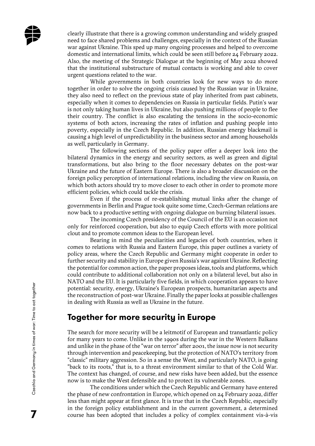clearly illustrate that there is a growing common understanding and widely grasped need to face shared problems and challenges, especially in the context of the Russian war against Ukraine. This sped up many ongoing processes and helped to overcome domestic and international limits, which could be seen still before 24 February 2022. Also, the meeting of the Strategic Dialogue at the beginning of May 2022 showed that the institutional substructure of mutual contacts is working and able to cover urgent questions related to the war.

While governments in both countries look for new ways to do more together in order to solve the ongoing crisis caused by the Russian war in Ukraine, they also need to reflect on the previous state of play inherited from past cabinets, especially when it comes to dependencies on Russia in particular fields. Putin's war is not only taking human lives in Ukraine, but also pushing millions of people to flee their country. The conflict is also escalating the tensions in the socio-economic systems of both actors, increasing the rates of inflation and pushing people into poverty, especially in the Czech Republic. In addition, Russian energy blackmail is causing a high level of unpredictability in the business sector and among households as well, particularly in Germany.

The following sections of the policy paper offer a deeper look into the bilateral dynamics in the energy and security sectors, as well as green and digital transformations, but also bring to the floor necessary debates on the post-war Ukraine and the future of Eastern Europe. There is also a broader discussion on the foreign policy perception of international relations, including the view on Russia, on which both actors should try to move closer to each other in order to promote more efficient policies, which could tackle the crisis.

Even if the process of re-establishing mutual links after the change of governments in Berlin and Prague took quite some time, Czech-German relations are now back to a productive setting with ongoing dialogue on burning bilateral issues.

The incoming Czech presidency of the Council of the EU is an occasion not only for reinforced cooperation, but also to equip Czech efforts with more political clout and to promote common ideas to the European level.

Bearing in mind the peculiarities and legacies of both countries, when it comes to relations with Russia and Eastern Europe, this paper outlines a variety of policy areas, where the Czech Republic and Germany might cooperate in order to further security and stability in Europe given Russia's war against Ukraine. Reflecting the potential for common action, the paper proposes ideas, tools and platforms, which could contribute to additional collaboration not only on a bilateral level, but also in NATO and the EU. It is particularly five fields, in which cooperation appears to have potential: security, energy, Ukraine's European prospects, humanitarian aspects and the reconstruction of post-war Ukraine. Finally the paper looks at possible challenges in dealing with Russia as well as Ukraine in the future.

#### **Together for more security in Europe**

The search for more security will be a leitmotif of European and transatlantic policy for many years to come. Unlike in the 1990s during the war in the Western Balkans and unlike in the phase of the "war on terror" after 2001, the issue now is not security through intervention and peacekeeping, but the protection of NATO's territory from "classic" military aggression. So in a sense the West, and particularly NATO, is going "back to its roots," that is, to a threat environment similar to that of the Cold War. The context has changed, of course, and new risks have been added, but the essence now is to make the West defensible and to protect its vulnerable zones.

The conditions under which the Czech Republic and Germany have entered the phase of new confrontation in Europe, which opened on 24 February 2022, differ less than might appear at first glance. It is true that in the Czech Republic, especially in the foreign policy establishment and in the current government, a determined course has been adopted that includes a policy of complex containment vis-à-vis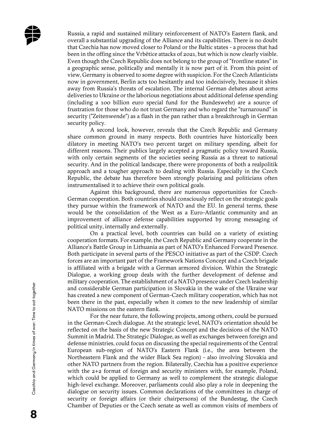

Russia, a rapid and sustained military reinforcement of NATO's Eastern flank, and overall a substantial upgrading of the Alliance and its capabilities. There is no doubt that Czechia has now moved closer to Poland or the Baltic states - a process that had been in the offing since the Vrbětice attacks of 2021, but which is now clearly visible. Even though the Czech Republic does not belong to the group of "frontline states" in a geographic sense, politically and mentally it is now part of it. From this point of view, Germany is observed to some degree with suspicion. For the Czech Atlanticists now in government, Berlin acts too hesitantly and too indecisively, because it shies away from Russia's threats of escalation. The internal German debates about arms deliveries to Ukraine or the laborious negotiations about additional defense spending (including a 100 billion euro special fund for the Bundeswehr) are a source of frustration for those who do not trust Germany and who regard the "turnaround" in security ("Zeitenwende") as a flash in the pan rather than a breakthrough in German security policy.

A second look, however, reveals that the Czech Republic and Germany share common ground in many respects. Both countries have historically been dilatory in meeting NATO's two percent target on military spending, albeit for different reasons. Their publics largely accepted a pragmatic policy toward Russia, with only certain segments of the societies seeing Russia as a threat to national security. And in the political landscape, there were proponents of both a realpolitik approach and a tougher approach to dealing with Russia. Especially in the Czech Republic, the debate has therefore been strongly polarising and politicians often instrumentalised it to achieve their own political goals.

Against this background, there are numerous opportunities for Czech-German cooperation. Both countries should consciously reflect on the strategic goals they pursue within the framework of NATO and the EU. In general terms, these would be the consolidation of the West as a Euro-Atlantic community and an improvement of alliance defense capabilities supported by strong messaging of political unity, internally and externally.

On a practical level, both countries can build on a variety of existing cooperation formats. For example, the Czech Republic and Germany cooperate in the Alliance's Battle Group in Lithuania as part of NATO's Enhanced Forward Presence. Both participate in several parts of the PESCO initiative as part of the CSDP. Czech forces are an important part of the Framework Nations Concept and a Czech brigade is affiliated with a brigade with a German armored division. Within the Strategic Dialogue, a working group deals with the further development of defense and military cooperation. The establishment of a NATO presence under Czech leadership and considerable German participation in Slovakia in the wake of the Ukraine war has created a new component of German-Czech military cooperation, which has not been there in the past, especially when it comes to the new leadership of similar NATO missions on the eastern flank.

For the near future, the following projects, among others, could be pursued in the German-Czech dialogue. At the strategic level, NATO's orientation should be reflected on the basis of the new Strategic Concept and the decisions of the NATO Summit in Madrid. The Strategic Dialogue, as well as exchanges between foreign and defense ministries, could focus on discussing the special requirements of the Central European sub-region of NATO's Eastern Flank (i.e., the area between the Northeastern Flank and the wider Black Sea region) - also involving Slovakia and other NATO partners from the region. Bilaterally, Czechia has a positive experience with the  $2+2$  format of foreign and security ministers with, for example, Poland, which could be applied to Germany as well to complement the strategic dialogue high-level exchange. Moreover, parliaments could also play a role in deepening the dialogue on security issues. Common declarations of the committees in charge of security or foreign affairs (or their chairpersons) of the Bundestag, the Czech Chamber of Deputies or the Czech senate as well as common visits of members of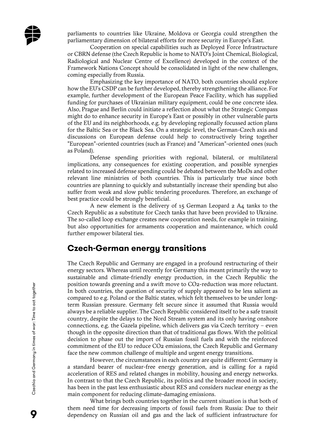parliaments to countries like Ukraine, Moldova or Georgia could strengthen the parliamentary dimension of bilateral efforts for more security in Europe's East.

Cooperation on special capabilities such as Deployed Force Infrastructure or CBRN defense (the Czech Republic is home to NATO's Joint Chemical, Biological, Radiological and Nuclear Centre of Excellence) developed in the context of the Framework Nations Concept should be consolidated in light of the new challenges, coming especially from Russia.

Emphasizing the key importance of NATO, both countries should explore how the EU's CSDP can be further developed, thereby strengthening the alliance. For example, further development of the European Peace Facility, which has supplied funding for purchases of Ukrainian military equipment, could be one concrete idea. Also, Prague and Berlin could initiate a reflection about what the Strategic Compass might do to enhance security in Europe's East or possibly in other vulnerable parts of the EU and its neighborhoods, e.g. by developing regionally focussed action plans for the Baltic Sea or the Black Sea. On a strategic level, the German-Czech axis and discussions on European defense could help to constructively bring together "European"-oriented countries (such as France) and "American"-oriented ones (such as Poland).

Defense spending priorities with regional, bilateral, or multilateral implications, any consequences for existing cooperation, and possible synergies related to increased defense spending could be debated between the MoDs and other relevant line ministries of both countries. This is particularly true since both countries are planning to quickly and substantially increase their spending but also suffer from weak and slow public tendering procedures. Therefore, an exchange of best practice could be strongly beneficial.

A new element is the delivery of 15 German Leopard 2 A4 tanks to the Czech Republic as a substitute for Czech tanks that have been provided to Ukraine. The so-called loop exchange creates new cooperation needs, for example in training, but also opportunities for armaments cooperation and maintenance, which could further empower bilateral ties.

#### **Czech-German energy transitions**

The Czech Republic and Germany are engaged in a profound restructuring of their energy sectors. Whereas until recently for Germany this meant primarily the way to sustainable and climate-friendly energy production, in the Czech Republic the position towards greening and a swift move to CO2-reduction was more reluctant. In both countries, the question of security of supply appeared to be less salient as compared to e.g. Poland or the Baltic states, which felt themselves to be under longterm Russian pressure. Germany felt secure since it assumed that Russia would always be a reliable supplier. The Czech Republic considered itself to be a safe transit country, despite the delays to the Nord Stream system and its only having onshore connections, e.g. the Gazela pipeline, which delivers gas via Czech territory – even though in the opposite direction than that of traditional gas flows. With the political decision to phase out the import of Russian fossil fuels and with the reinforced commitment of the EU to reduce CO2 emissions, the Czech Republic and Germany face the new common challenge of multiple and urgent energy transitions.

However, the circumstances in each country are quite different: Germany is a standard bearer of nuclear-free energy generation, and is calling for a rapid acceleration of RES and related changes in mobility, housing and energy networks. In contrast to that the Czech Republic, its politics and the broader mood in society, has been in the past less enthusiastic about RES and considers nuclear energy as the main component for reducing climate-damaging emissions.

What brings both countries together in the current situation is that both of them need time for decreasing imports of fossil fuels from Russia: Due to their dependency on Russian oil and gas and the lack of sufficient infrastructure for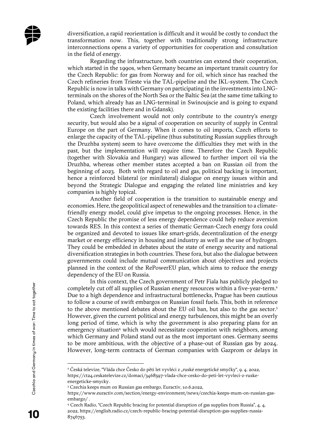diversification, a rapid reorientation is difficult and it would be costly to conduct the transformation now. This, together with traditionally strong infrastructure interconnections opens a variety of opportunities for cooperation and consultation in the field of energy.

Regarding the infrastructure, both countries can extend their cooperation, which started in the 1990s, when Germany became an important transit country for the Czech Republic: for gas from Norway and for oil, which since has reached the Czech refineries from Trieste via the TAL-pipeline and the IKL-system. The Czech Republic is now in talks with Germany on participating in the investments into LNGterminals on the shores of the North Sea or the Baltic Sea (at the same time talking to Poland, which already has an LNG-terminal in Swinoujscie and is going to expand the existing facilities there and in Gdansk).

Czech involvement would not only contribute to the country's energy security, but would also be a signal of cooperation on security of supply in Central Europe on the part of Germany. When it comes to oil imports, Czech efforts to enlarge the capacity of the TAL-pipeline (thus substituting Russian supplies through the Druzhba system) seem to have overcome the difficulties they met with in the past, but the implementation will require time. Therefore the Czech Republic (together with Slovakia and Hungary) was allowed to further import oil via the Druzhba, whereas other member states accepted a ban on Russian oil from the beginning of 2023. Both with regard to oil and gas, political backing is important, hence a reinforced bilateral (or minilateral) dialogue on energy issues within and beyond the Strategic Dialogue and engaging the related line ministries and key companies is highly topical.

Another field of cooperation is the transition to sustainable energy and economies. Here, the geopolitical aspect of renewables and the transition to a climatefriendly energy model, could give impetus to the ongoing processes. Hence, in the Czech Republic the promise of less energy dependence could help reduce aversion towards RES. In this context a series of thematic German-Czech energy fora could be organized and devoted to issues like smart-grids, decentralization of the energy market or energy efficiency in housing and industry as well as the use of hydrogen. They could be embedded in debates about the state of energy security and national diversification strategies in both countries. These fora, but also the dialogue between governments could include mutual communication about objectives and projects planned in the context of the RePowerEU plan, which aims to reduce the energy dependency of the EU on Russia.

In this context, the Czech government of Petr Fiala has publicly pledged to completely cut off all supplies of Russian energy resources within a five-year-term.<sup>2</sup> Due to a high dependence and infrastructural bottlenecks, Prague has been cautious to follow a course of swift embargos on Russian fossil fuels. This, both in reference to the above mentioned debates about the EU oil ban, but also to the gas sector.<sup>3</sup> However, given the current political and energy turbulences, this might be an overly long period of time, which is why the government is also preparing plans for an emergency situation<sup>4</sup> which would necessitate cooperation with neighbors, among which Germany and Poland stand out as the most important ones. Germany seems to be more ambitious, with the objective of a phase-out of Russian gas by 2024. However, long-term contracts of German companies with Gazprom or delays in

<sup>°</sup> Česká televize, "Vláda chce Česko do pěti let vyvléci z "ruské energetické smyčky", 9. 4. 2022, https://ct24.ceskatelevize.cz/domaci/3468597-vlada-chce-cesko-do-peti-let-vyvleci-z-ruskeenergeticke-smycky.

<sup>3</sup> Czechia keeps mum on Russian gas embargo, Euractiv, 10.6.2022,

https://www.euractiv.com/section/energy-environment/news/czechia-keeps-mum-on-russian-gasembargo/ .

<sup>4</sup> Czech Radio, "Czech Republic bracing for potential disruption of gas supplies from Russia", 4. 4. 2022, https://english.radio.cz/czech-republic-bracing-potential-disruption-gas-supplies-russia-8746753.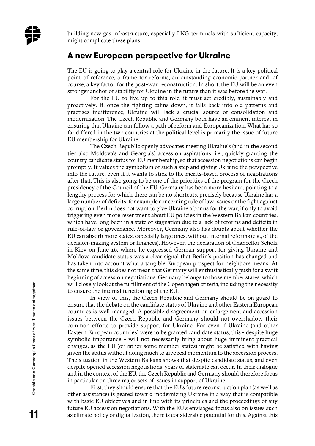building new gas infrastructure, especially LNG-terminals with sufficient capacity, might complicate these plans.

#### **A new European perspective for Ukraine**

The EU is going to play a central role for Ukraine in the future. It is a key political point of reference, a frame for reforms, an outstanding economic partner and, of course, a key factor for the post-war reconstruction. In short, the EU will be an even stronger anchor of stability for Ukraine in the future than it was before the war.

For the EU to live up to this role, it must act credibly, sustainably and proactively. If, once the fighting calms down, it falls back into old patterns and practises indifference, Ukraine will lack a crucial source of consolidation and modernization. The Czech Republic and Germany both have an eminent interest in ensuring that Ukraine can follow a path of reform and Europeanization. What has so far differed in the two countries at the political level is primarily the issue of future EU membership for Ukraine.

The Czech Republic openly advocates meeting Ukraine's (and in the second tier also Moldova's and Georgia's) accession aspirations, i.e., quickly granting the country candidate status for EU membership, so that accession negotiations can begin promptly. It values the symbolism of such a step and giving Ukraine the perspective into the future, even if it wants to stick to the merits-based process of negotiations after that. This is also going to be one of the priorities of the program for the Czech presidency of the Council of the EU. Germany has been more hesitant, pointing to a lengthy process for which there can be no shortcuts, precisely because Ukraine has a large number of deficits, for example concerning rule of law issues or the fight against corruption. Berlin does not want to give Ukraine a bonus for the war, if only to avoid triggering even more resentment about EU policies in the Western Balkan countries, which have long been in a state of stagnation due to a lack of reforms and deficits in rule-of-law or governance. Moreover, Germany also has doubts about whether the EU can absorb more states, especially large ones, without internal reforms (e.g., of the decision-making system or finances). However, the declaration of Chancellor Scholz in Kiev on June 16, where he expressed German support for giving Ukraine and Moldova candidate status was a clear signal that Berlin's position has changed and has taken into account what a tangible European prospect for neighbors means. At the same time, this does not mean that Germany will enthusiastically push for a swift beginning of accession negotiations. Germany belongs to those member states, which will closely look at the fulfillment of the Copenhagen criteria, including the necessity to ensure the internal functioning of the EU.

In view of this, the Czech Republic and Germany should be on guard to ensure that the debate on the candidate status of Ukraine and other Eastern European countries is well-managed. A possible disagreement on enlargement and accession issues between the Czech Republic and Germany should not overshadow their common efforts to provide support for Ukraine. For even if Ukraine (and other Eastern European countries) were to be granted candidate status, this - despite huge symbolic importance - will not necessarily bring about huge imminent practical changes, as the EU (or rather some member states) might be satisfied with having given the status without doing much to give real momentum to the accession process. The situation in the Western Balkans shows that despite candidate status, and even despite opened accession negotiations, years of stalemate can occur. In their dialogue and in the context of the EU, the Czech Republic and Germany should therefore focus in particular on three major sets of issues in support of Ukraine.

First, they should ensure that the EU's future reconstruction plan (as well as other assistance) is geared toward modernizing Ukraine in a way that is compatible with basic EU objectives and in line with its principles and the proceedings of any future EU accession negotiations. With the EU's envisaged focus also on issues such as climate policy or digitalization, there is considerable potential for this. Against this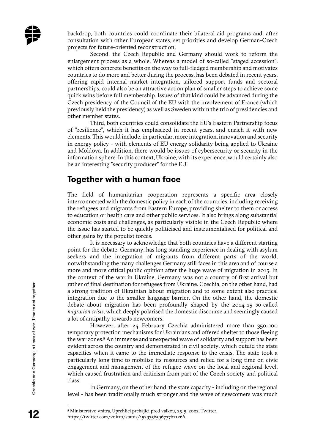backdrop, both countries could coordinate their bilateral aid programs and, after consultation with other European states, set priorities and develop German-Czech projects for future-oriented reconstruction.

Second, the Czech Republic and Germany should work to reform the enlargement process as a whole. Whereas a model of so-called "staged accession", which offers concrete benefits on the way to full-fledged membership and motivates countries to do more and better during the process, has been debated in recent years, offering rapid internal market integration, tailored support funds and sectoral partnerships, could also be an attractive action plan of smaller steps to achieve some quick wins before full membership. Issues of that kind could be advanced during the Czech presidency of the Council of the EU with the involvement of France (which previously held the presidency) as well as Sweden within the trio of presidencies and other member states.

Third, both countries could consolidate the EU's Eastern Partnership focus of "resilience", which it has emphasized in recent years, and enrich it with new elements. This would include, in particular, more integration, innovation and security in energy policy - with elements of EU energy solidarity being applied to Ukraine and Moldova. In addition, there would be issues of cybersecurity or security in the information sphere. In this context, Ukraine, with its experience, would certainly also be an interesting "security producer" for the EU.

#### **Together with a human face**

The field of humanitarian cooperation represents a specific area closely interconnected with the domestic policy in each of the countries, including receiving the refugees and migrants from Eastern Europe, providing shelter to them or access to education or health care and other public services. It also brings along substantial economic costs and challenges, as particularly visible in the Czech Republic where the issue has started to be quickly politicised and instrumentalised for political and other gains by the populist forces.

It is necessary to acknowledge that both countries have a different starting point for the debate. Germany, has long standing experience in dealing with asylum seekers and the integration of migrants from different parts of the world, notwithstanding the many challenges Germany still faces in this area and of course a more and more critical public opinion after the huge wave of migration in 2015. In the context of the war in Ukraine, Germany was not a country of first arrival but rather of final destination for refugees from Ukraine. Czechia, on the other hand, had a strong tradition of Ukrainian labour migration and to some extent also practical integration due to the smaller language barrier. On the other hand, the domestic debate about migration has been profoundly shaped by the 2014-15 so-called *migration crisis*, which deeply polarised the domestic discourse and seemingly caused a lot of antipathy towards newcomers.

However, after 24 February Czechia administered more than 350,000 temporary protection mechanisms for Ukrainians and offered shelter to those fleeing the war zones.<sup>5</sup> An immense and unexpected wave of solidarity and support has been evident across the country and demonstrated in civil society, which outdid the state capacities when it came to the immediate response to the crisis. The state took a particularly long time to mobilise its resources and relied for a long time on civic engagement and management of the refugee wave on the local and regional level, which caused frustration and criticism from part of the Czech society and political class.

In Germany, on the other hand, the state capacity - including on the regional level - has been traditionally much stronger and the wave of newcomers was much

<sup>5</sup> Ministerstvo vnitra, Uprchlici prchajici pred valkou, 25. 5. 2022, Twitter, https://twitter.com/vnitro/status/1529356596777611266.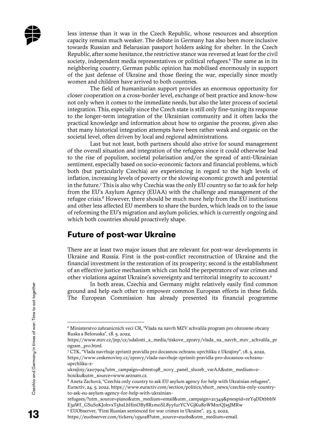less intense than it was in the Czech Republic, whose resources and absorption capacity remain much weaker. The debate in Germany has also been more inclusive towards Russian and Belarusian passport holders asking for shelter. In the Czech Republic, after some hesitance, the restrictive stance was reversed at least for the civil society, independent media representatives or political refugees.<sup>6</sup> The same as in its neighboring country, German public opinion has mobilised enormously in support of the just defense of Ukraine and those fleeing the war, especially since mostly women and children have arrived to both countries.

The field of humanitarian support provides an enormous opportunity for closer cooperation on a cross-border level, exchange of best practice and know-how not only when it comes to the immediate needs, but also the later process of societal integration. This, especially since the Czech state is still only fine-tuning its response to the longer-term integration of the Ukrainian community and it often lacks the practical knowledge and information about how to organise the process, given also that many historical integration attempts have been rather weak and organic on the societal level, often driven by local and regional administrations.

Last but not least, both partners should also strive for sound management of the overall situation and integration of the refugees since it could otherwise lead to the rise of populism, societal polarisation and/or the spread of anti-Ukrainian sentiment, especially based on socio-economic factors and financial problems, which both (but particularly Czechia) are experiencing in regard to the high levels of inflation, increasing levels of poverty or the slowing economic growth and potential in the future.<sup>7</sup> This is also why Czechia was the only EU country so far to ask for help from the EU's Asylum Agency (EUAA) with the challenge and management of the refugee crisis.<sup>8</sup> However, there should be much more help from the EU institutions and other less affected EU members to share the burden, which leads on to the issue of reforming the EU's migration and asylum policies, which is currently ongoing and which both countries should proactively shape.

#### **Future of post-war Ukraine**

There are at least two major issues that are relevant for post-war developments in Ukraine and Russia. First is the post-conflict reconstruction of Ukraine and the financial investment in the restoration of its prosperity; second is the establishment of an effective justice mechanism which can hold the perpetrators of war crimes and other violations against Ukraine's sovereignty and territorial integrity to account.<sup>9</sup>

In both areas, Czechia and Germany might relatively easily find common ground and help each other to empower common European efforts in these fields. The European Commission has already presented its financial programme

<sup>6</sup> Ministerstvo zahranicnich veci CR, "Vlada na navrh MZV schvalila program pro ohrozene obcany Ruska a Beloruska", 18. 5. 2022,

https://www.mzv.cz/jnp/cz/udalosti\_a\_media/tiskove\_zpravy/vlada\_na\_navrh\_mzv\_schvalila\_pr ogram\_pro.html.

<sup>7</sup> CTK, "Vlada navrhuje zprisnit pravidla pro docasnou ochranu uprchliku z Ukrajiny", 18. 5. 2022, https://www.ceskenoviny.cz/zpravy/vlada-navrhuje-zprisnit-pravidla-pro-docasnou-ochranuuprchliku-z-

ukrajiny/2207904?utm\_campaign=abtest198\_novy\_panel\_sluzeb\_varAA&utm\_medium=zboxiku&utm\_source=www.seznam.cz.

<sup>8</sup> Aneta Zachová, "Czechia only country to ask EU asylum agency for help with Ukrainian refugees", Euractiv, 24. 5. 2022, https://www.euractiv.com/section/politics/short\_news/czechia-only-countryto-ask-eu-asylum-agency-for-help-with-ukrainian-

refugees/?utm\_source=piano&utm\_medium=email&utm\_campaign=21349&pnespid=reY9DDtbbbN E3aWf\_GSuSoKJohvxT5hsLbHinOBy8R1m0SL8yyfurYCVGjKu80WMnrQJs5JMRw

<sup>9</sup> EUObserver, "First Russian sentenced for war crimes in Ukraine", 23. 5. 2022,

https://euobserver.com/tickers/155028?utm\_source=euobs&utm\_medium=email.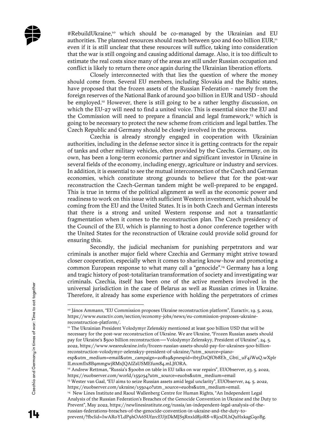#RebuildUkraine,<sup>10</sup> which should be co-managed by the Ukrainian and EU authorities. The planned resources should reach between 500 and 600 billion EUR,<sup>11</sup> even if it is still unclear that these resources will suffice, taking into consideration that the war is still ongoing and causing additional damage. Also, it is too difficult to estimate the real costs since many of the areas are still under Russian occupation and conflict is likely to return there once again during the Ukrainian liberation efforts.

Closely interconnected with that lies the question of where the money should come from. Several EU members, including Slovakia and the Baltic states, have proposed that the frozen assets of the Russian Federation - namely from the foreign reserves of the National Bank of around 300 billion in EUR and USD - should be employed.<sup>12</sup> However, there is still going to be a rather lengthy discussion, on which the EU-27 will need to find a united voice. This is essential since the EU and the Commission will need to prepare a financial and legal framework,<sup>13</sup> which is going to be necessary to protect the new scheme from criticism and legal battles. The Czech Republic and Germany should be closely involved in the process.

Czechia is already strongly engaged in cooperation with Ukrainian authorities, including in the defense sector since it is getting contracts for the repair of tanks and other military vehicles, often provided by the Czechs. Germany, on its own, has been a long-term economic partner and significant investor in Ukraine in several fields of the economy, including energy, agriculture or industry and services. In addition, it is essential to see the mutual interconnection of the Czech and German economies, which constitute strong grounds to believe that for the post-war reconstruction the Czech-German tandem might be well-prepared to be engaged. This is true in terms of the political alignment as well as the economic power and readiness to work on this issue with sufficient Western investment, which should be coming from the EU and the United States. It is in both Czech and German interests that there is a strong and united Western response and not a transatlantic fragmentation when it comes to the reconstruction plan. The Czech presidency of the Council of the EU, which is planning to host a donor conference together with the United States for the reconstruction of Ukraine could provide solid ground for ensuring this.

Secondly, the judicial mechanism for punishing perpetrators and war criminals is another major field where Czechia and Germany might strive toward closer cooperation, especially when it comes to sharing know-how and promoting a common European response to what many call a "genocide".<sup>14</sup> Germany has a long and tragic history of post-totalitarian transformation of society and investigating war criminals. Czechia, itself has been one of the active members involved in the universal jurisdiction in the case of Belarus as well as Russian crimes in Ukraine. Therefore, it already has some experience with holding the perpetrators of crimes

<sup>12</sup> Andrew Rettman, "Russia's \$300bn on table in EU talks on war repairs", EUObserver, 23. 5. 2022, https://euobserver.com/world/155034?utm\_source=euobs&utm\_medium=email <sup>13</sup> Wester van Gaal, "EU aims to seize Russian assets amid legal unclarity", EUObserver, 24. 5. 2022,

prevent/?fbclid=IwAR0YLdP9hOA6SUf2rcEUjtDkMJS5Rnxld8joR8-vRjcsDLhQuHxkagGq0Bg.

<sup>&</sup>lt;sup>10</sup> János Ammann, "EU Commission proposes Ukraine reconstruction platform", Euractiv, 19. 5. 2022, https://www.euractiv.com/section/economy-jobs/news/eu-commission-proposes-ukrainereconstruction-platform/.

<sup>&</sup>lt;sup>11</sup> The Ukrainian President Volodymyr Zelenskiy mentioned at least 500 billion USD that will be necessary for the post-war reconstruction of Ukraine. We are Ukraine, "Frozen Russian assets should pay for Ukraine's \$500 billion reconstruction — Volodymyr Zelenskyy, President of Ukraine", 24. 5. 2022, https://www.weareukraine.info/frozen-russian-assets-should-pay-for-ukraines-500-billionreconstruction-volodymyr-zelenskyy-president-of-ukraine/?utm\_source=piano-

esp&utm\_medium=email&utm\_campaign=20819&pnespid=tbt3DzQfOb8Eh\_Gbti\_uF4iWuQ.wXplr ILmxmfIx8B9mmgwjRMxJQAIZsUSMEfum84.mLJfORA.

https://euobserver.com/ukraine/155040?utm\_source=euobs&utm\_medium=email.

<sup>&</sup>lt;sup>14</sup> New Lines Institute and Raoul Wallenberg Centre for Human Rights, "An Independent Legal Analysis of the Russian Federation's Breaches of the Genocide Convention in Ukraine and the Duty to Prevent", May 2022, https://newlinesinstitute.org/russia/an-independent-legal-analysis-of-therussian-federations-breaches-of-the-genocide-convention-in-ukraine-and-the-duty-to-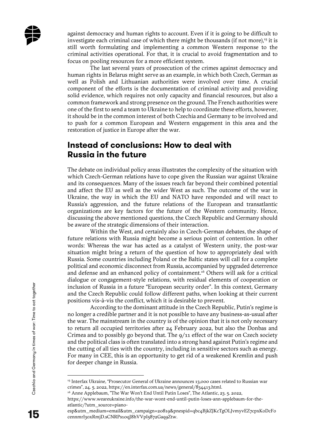against democracy and human rights to account. Even if it is going to be difficult to investigate each criminal case of which there might be thousands (if not more), $15$  it is still worth formulating and implementing a common Western response to the criminal activities operational. For that, it is crucial to avoid fragmentation and to focus on pooling resources for a more efficient system.

The last several years of prosecution of the crimes against democracy and human rights in Belarus might serve as an example, in which both Czech, German as well as Polish and Lithuanian authorities were involved over time. A crucial component of the efforts is the documentation of criminal activity and providing solid evidence, which requires not only capacity and financial resources, but also a common framework and strong presence on the ground. The French authorities were one of the first to send a team to Ukraine to help to coordinate these efforts, however, it should be in the common interest of both Czechia and Germany to be involved and to push for a common European and Western engagement in this area and the restoration of justice in Europe after the war.

## **Instead of conclusions: How to deal with Russia in the future**

The debate on individual policy areas illustrates the complexity of the situation with which Czech-German relations have to cope given the Russian war against Ukraine and its consequences. Many of the issues reach far beyond their combined potential and affect the EU as well as the wider West as such. The outcome of the war in Ukraine, the way in which the EU and NATO have responded and will react to Russia's aggression, and the future relations of the European and transatlantic organizations are key factors for the future of the Western community. Hence, discussing the above mentioned questions, the Czech Republic and Germany should be aware of the strategic dimensions of their interaction.

Within the West, and certainly also in Czech-German debates, the shape of future relations with Russia might become a serious point of contention. In other words: Whereas the war has acted as a catalyst of Western unity, the post-war situation might bring a return of the question of how to appropriately deal with Russia. Some countries including Poland or the Baltic states will call for a complete political and economic disconnect from Russia, accompanied by upgraded deterrence and defense and an enhanced policy of containment.<sup>16</sup> Others will ask for a critical dialogue or congagement-style relations, with residual elements of cooperation or inclusion of Russia in a future "European security order". In this context, Germany and the Czech Republic could follow different paths, when looking at their current positions vis-à-vis the conflict, which it is desirable to prevent.

According to the dominant attitude in the Czech Republic, Putin's regime is no longer a credible partner and it is not possible to have any business-as-usual after the war. The mainstream in the country is of the opinion that it is not only necessary to return all occupied territories after 24 February 2022, but also the Donbas and Crimea and to possibly go beyond that. The 9/11 effect of the war on Czech society and the political class is often translated into a strong hand against Putin's regime and the cutting of all ties with the country, including in sensitive sectors such as energy. For many in CEE, this is an opportunity to get rid of a weakened Kremlin and push for deeper change in Russia.

<sup>15</sup> Interfax Ukraine, "Prosecutor General of Ukraine announces 13,000 cases related to Russian war crimes", 24. 5. 2022, https://en.interfax.com.ua/news/general/834413.html.

<sup>&</sup>lt;sup>16</sup> Anne Applebaum, "The War Won't End Until Putin Loses", The Atlantic, 23. 5. 2022,

https://www.weareukraine.info/the-war-wont-end-until-putin-loses-ann-applebaum-for-theatlantic/?utm\_source=piano-

esp&utm\_medium=email&utm\_campaign=20819&pnespid=qbc4BjkZJKcTgOLJvmyvEZ7cpxKoDcFo cennmrI3oxRmjD.sCNRPs10qJ8hVVpI5872Gaq9Ztw.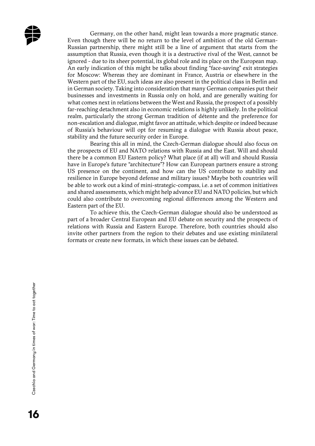

Germany, on the other hand, might lean towards a more pragmatic stance. Even though there will be no return to the level of ambition of the old German-Russian partnership, there might still be a line of argument that starts from the assumption that Russia, even though it is a destructive rival of the West, cannot be ignored - due to its sheer potential, its global role and its place on the European map. An early indication of this might be talks about finding "face-saving" exit strategies for Moscow: Whereas they are dominant in France, Austria or elsewhere in the Western part of the EU, such ideas are also present in the political class in Berlin and in German society. Taking into consideration that many German companies put their businesses and investments in Russia only on hold, and are generally waiting for what comes next in relations between the West and Russia, the prospect of a possibly far-reaching detachment also in economic relations is highly unlikely. In the political realm, particularly the strong German tradition of détente and the preference for non-escalation and dialogue, might favor an attitude, which despite or indeed because of Russia's behaviour will opt for resuming a dialogue with Russia about peace, stability and the future security order in Europe.

Bearing this all in mind, the Czech-German dialogue should also focus on the prospects of EU and NATO relations with Russia and the East. Will and should there be a common EU Eastern policy? What place (if at all) will and should Russia have in Europe's future "architecture"? How can European partners ensure a strong US presence on the continent, and how can the US contribute to stability and resilience in Europe beyond defense and military issues? Maybe both countries will be able to work out a kind of mini-strategic-compass, i.e. a set of common initiatives and shared assessments, which might help advance EU and NATO policies, but which could also contribute to overcoming regional differences among the Western and Eastern part of the EU.

To achieve this, the Czech-German dialogue should also be understood as part of a broader Central European and EU debate on security and the prospects of relations with Russia and Eastern Europe. Therefore, both countries should also invite other partners from the region to their debates and use existing minilateral formats or create new formats, in which these issues can be debated.